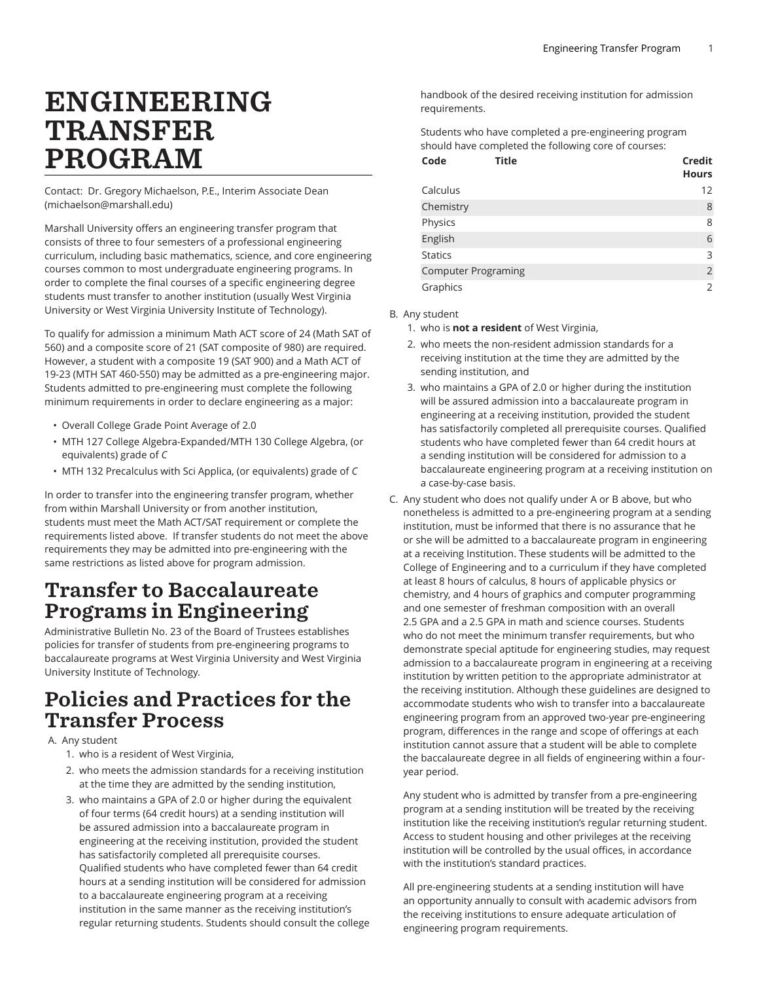## ENGINEERING TRANSFER PROGRAM

Contact: Dr. Gregory Michaelson, P.E., Interim Associate Dean [\(michaelson@marshall.edu\)](mailto:michaelson@marshall.edu)

Marshall University offers an engineering transfer program that consists of three to four semesters of a professional engineering curriculum, including basic mathematics, science, and core engineering courses common to most undergraduate engineering programs. In order to complete the final courses of a specific engineering degree students must transfer to another institution (usually West Virginia University or West Virginia University Institute of Technology).

To qualify for admission a minimum Math ACT score of 24 (Math SAT of 560) and a composite score of 21 (SAT composite of 980) are required. However, a student with a composite 19 (SAT 900) and a Math ACT of 19-23 (MTH SAT 460-550) may be admitted as a pre-engineering major. Students admitted to pre-engineering must complete the following minimum requirements in order to declare engineering as a major:

- Overall College Grade Point Average of 2.0
- MTH 127 College Algebra-Expanded/MTH 130 College Algebra, (or equivalents) grade of *C*
- MTH 132 Precalculus with Sci Applica, (or equivalents) grade of *C*

In order to transfer into the engineering transfer program, whether from within Marshall University or from another institution, students must meet the Math ACT/SAT requirement or complete the requirements listed above. If transfer students do not meet the above requirements they may be admitted into pre-engineering with the same restrictions as listed above for program admission.

## Transfer to Baccalaureate Programs in Engineering

Administrative Bulletin No. 23 of the Board of Trustees establishes policies for transfer of students from pre-engineering programs to baccalaureate programs at West Virginia University and West Virginia University Institute of Technology.

## Policies and Practices for the Transfer Process

A. Any student

- 1. who is a resident of West Virginia,
- 2. who meets the admission standards for a receiving institution at the time they are admitted by the sending institution,
- 3. who maintains a GPA of 2.0 or higher during the equivalent of four terms (64 credit hours) at a sending institution will be assured admission into a baccalaureate program in engineering at the receiving institution, provided the student has satisfactorily completed all prerequisite courses. Qualified students who have completed fewer than 64 credit hours at a sending institution will be considered for admission to a baccalaureate engineering program at a receiving institution in the same manner as the receiving institution's regular returning students. Students should consult the college

handbook of the desired receiving institution for admission requirements.

Students who have completed a pre-engineering program should have completed the following core of courses:

| Code                       | <b>Title</b> | Credit<br><b>Hours</b> |
|----------------------------|--------------|------------------------|
| Calculus                   |              | $12 \overline{ }$      |
| Chemistry                  |              | 8                      |
| Physics                    |              | 8                      |
| English                    |              | 6                      |
| <b>Statics</b>             |              | 3                      |
| <b>Computer Programing</b> |              | 2                      |
| Graphics                   |              | 2                      |

- B. Any student
	- 1. who is **not a resident** of West Virginia,
	- 2. who meets the non-resident admission standards for a receiving institution at the time they are admitted by the sending institution, and
	- 3. who maintains a GPA of 2.0 or higher during the institution will be assured admission into a baccalaureate program in engineering at a receiving institution, provided the student has satisfactorily completed all prerequisite courses. Qualified students who have completed fewer than 64 credit hours at a sending institution will be considered for admission to a baccalaureate engineering program at a receiving institution on a case-by-case basis.
- C. Any student who does not qualify under A or B above, but who nonetheless is admitted to a pre-engineering program at a sending institution, must be informed that there is no assurance that he or she will be admitted to a baccalaureate program in engineering at a receiving Institution. These students will be admitted to the College of Engineering and to a curriculum if they have completed at least 8 hours of calculus, 8 hours of applicable physics or chemistry, and 4 hours of graphics and computer programming and one semester of freshman composition with an overall 2.5 GPA and a 2.5 GPA in math and science courses. Students who do not meet the minimum transfer requirements, but who demonstrate special aptitude for engineering studies, may request admission to a baccalaureate program in engineering at a receiving institution by written petition to the appropriate administrator at the receiving institution. Although these guidelines are designed to accommodate students who wish to transfer into a baccalaureate engineering program from an approved two-year pre-engineering program, differences in the range and scope of offerings at each institution cannot assure that a student will be able to complete the baccalaureate degree in all fields of engineering within a fouryear period.

Any student who is admitted by transfer from a pre-engineering program at a sending institution will be treated by the receiving institution like the receiving institution's regular returning student. Access to student housing and other privileges at the receiving institution will be controlled by the usual offices, in accordance with the institution's standard practices.

All pre-engineering students at a sending institution will have an opportunity annually to consult with academic advisors from the receiving institutions to ensure adequate articulation of engineering program requirements.